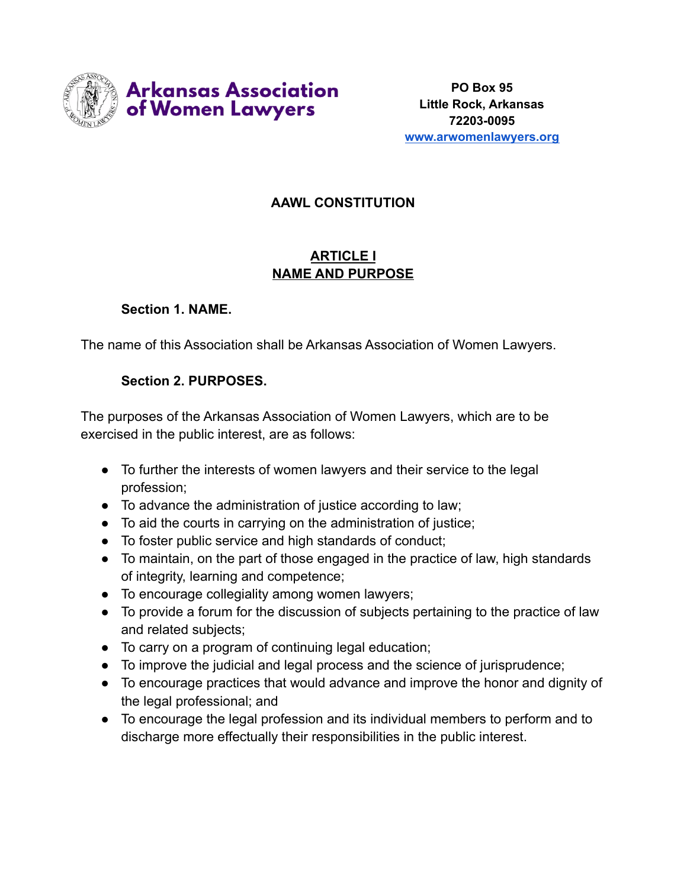

# **AAWL CONSTITUTION**

# **ARTICLE I NAME AND PURPOSE**

#### **Section 1. NAME.**

The name of this Association shall be Arkansas Association of Women Lawyers.

### **Section 2. PURPOSES.**

The purposes of the Arkansas Association of Women Lawyers, which are to be exercised in the public interest, are as follows:

- To further the interests of women lawyers and their service to the legal profession;
- To advance the administration of justice according to law;
- To aid the courts in carrying on the administration of justice;
- To foster public service and high standards of conduct;
- To maintain, on the part of those engaged in the practice of law, high standards of integrity, learning and competence;
- To encourage collegiality among women lawyers;
- To provide a forum for the discussion of subjects pertaining to the practice of law and related subjects;
- To carry on a program of continuing legal education;
- To improve the judicial and legal process and the science of jurisprudence;
- To encourage practices that would advance and improve the honor and dignity of the legal professional; and
- To encourage the legal profession and its individual members to perform and to discharge more effectually their responsibilities in the public interest.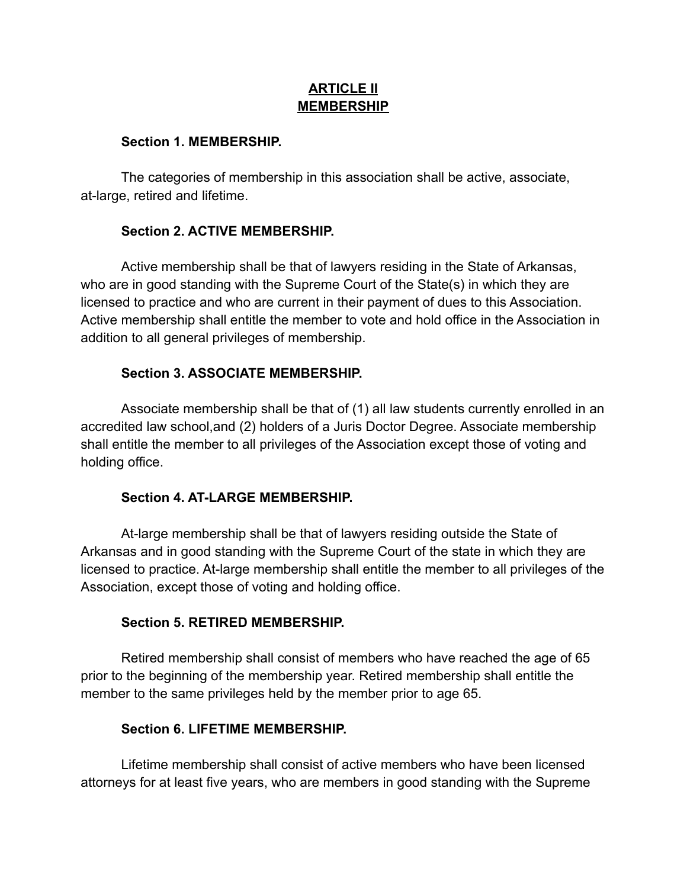### **ARTICLE II MEMBERSHIP**

#### **Section 1. MEMBERSHIP.**

The categories of membership in this association shall be active, associate, at-large, retired and lifetime.

## **Section 2. ACTIVE MEMBERSHIP.**

Active membership shall be that of lawyers residing in the State of Arkansas, who are in good standing with the Supreme Court of the State(s) in which they are licensed to practice and who are current in their payment of dues to this Association. Active membership shall entitle the member to vote and hold office in the Association in addition to all general privileges of membership.

### **Section 3. ASSOCIATE MEMBERSHIP.**

Associate membership shall be that of (1) all law students currently enrolled in an accredited law school,and (2) holders of a Juris Doctor Degree. Associate membership shall entitle the member to all privileges of the Association except those of voting and holding office.

### **Section 4. AT-LARGE MEMBERSHIP.**

At-large membership shall be that of lawyers residing outside the State of Arkansas and in good standing with the Supreme Court of the state in which they are licensed to practice. At-large membership shall entitle the member to all privileges of the Association, except those of voting and holding office.

### **Section 5. RETIRED MEMBERSHIP.**

Retired membership shall consist of members who have reached the age of 65 prior to the beginning of the membership year. Retired membership shall entitle the member to the same privileges held by the member prior to age 65.

### **Section 6. LIFETIME MEMBERSHIP.**

Lifetime membership shall consist of active members who have been licensed attorneys for at least five years, who are members in good standing with the Supreme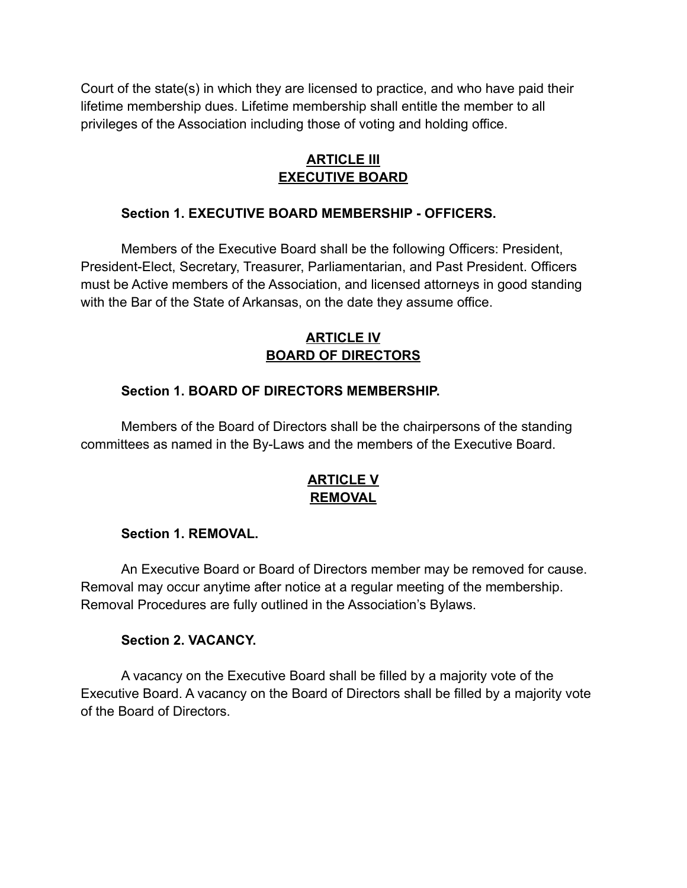Court of the state(s) in which they are licensed to practice, and who have paid their lifetime membership dues. Lifetime membership shall entitle the member to all privileges of the Association including those of voting and holding office.

# **ARTICLE III EXECUTIVE BOARD**

## **Section 1. EXECUTIVE BOARD MEMBERSHIP - OFFICERS.**

Members of the Executive Board shall be the following Officers: President, President-Elect, Secretary, Treasurer, Parliamentarian, and Past President. Officers must be Active members of the Association, and licensed attorneys in good standing with the Bar of the State of Arkansas, on the date they assume office.

# **ARTICLE IV BOARD OF DIRECTORS**

### **Section 1. BOARD OF DIRECTORS MEMBERSHIP.**

Members of the Board of Directors shall be the chairpersons of the standing committees as named in the By-Laws and the members of the Executive Board.

# **ARTICLE V REMOVAL**

### **Section 1. REMOVAL.**

An Executive Board or Board of Directors member may be removed for cause. Removal may occur anytime after notice at a regular meeting of the membership. Removal Procedures are fully outlined in the Association's Bylaws.

#### **Section 2. VACANCY.**

A vacancy on the Executive Board shall be filled by a majority vote of the Executive Board. A vacancy on the Board of Directors shall be filled by a majority vote of the Board of Directors.